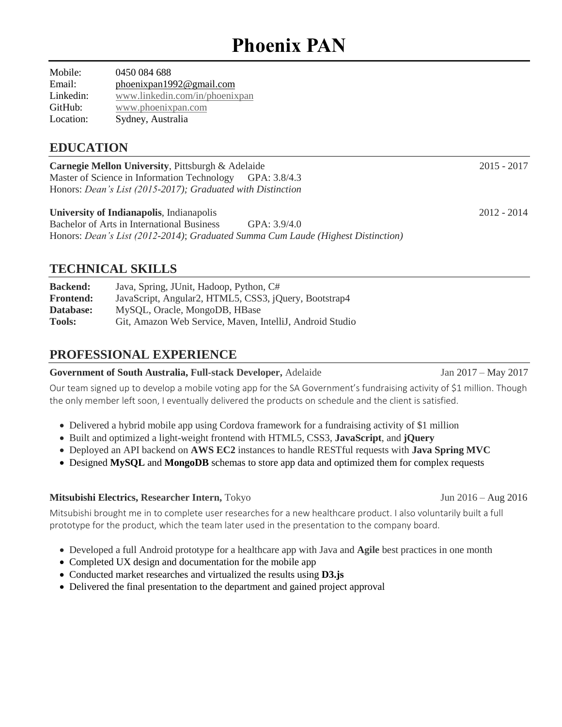# **Phoenix PAN**

Mobile: 0450 084 688 Email: [phoenixpan1992@gmail.com](mailto:phoenixpan1992@gmail.com) Linkedin: [www.linkedin.com/in/phoenixpan](http://www.linkedin.com/in/phoenixpan)  GitHub: [www.phoenixpan.com](http://www.phoenixpan.com/) Location: Sydney, Australia

## **EDUCATION**

**Carnegie Mellon University**, Pittsburgh & Adelaide 2015 - 2017 Master of Science in Information Technology GPA: 3.8/4.3 Honors: *Dean's List (2015-2017); Graduated with Distinction*

#### **University of Indianapolis**, Indianapolis 2012 - 2014

Bachelor of Arts in International Business GPA: 3.9/4.0 Honors: *Dean's List (2012-2014)*; *Graduated Summa Cum Laude (Highest Distinction)*

## **TECHNICAL SKILLS**

| <b>Backend:</b>  | Java, Spring, JUnit, Hadoop, Python, C#                  |
|------------------|----------------------------------------------------------|
| <b>Frontend:</b> | JavaScript, Angular2, HTML5, CSS3, jQuery, Bootstrap4    |
| Database:        | MySQL, Oracle, MongoDB, HBase                            |
| <b>Tools:</b>    | Git, Amazon Web Service, Maven, IntelliJ, Android Studio |

## **PROFESSIONAL EXPERIENCE**

#### **Government of South Australia, Full-stack Developer,** Adelaide Jan 2017 – May 2017

Our team signed up to develop a mobile voting app for the SA Government's fundraising activity of \$1 million. Though the only member left soon, I eventually delivered the products on schedule and the client is satisfied.

- Delivered a hybrid mobile app using Cordova framework for a fundraising activity of \$1 million
- Built and optimized a light-weight frontend with HTML5, CSS3, **JavaScript**, and **jQuery**
- Deployed an API backend on **AWS EC2** instances to handle RESTful requests with **Java Spring MVC**
- Designed **MySQL** and **MongoDB** schemas to store app data and optimized them for complex requests

#### **Mitsubishi Electrics, Researcher Intern,** TokyoJun 2016 – Aug 2016

Mitsubishi brought me in to complete user researches for a new healthcare product. I also voluntarily built a full prototype for the product, which the team later used in the presentation to the company board.

- Developed a full Android prototype for a healthcare app with Java and **Agile** best practices in one month
- Completed UX design and documentation for the mobile app
- Conducted market researches and virtualized the results using **D3.js**
- Delivered the final presentation to the department and gained project approval